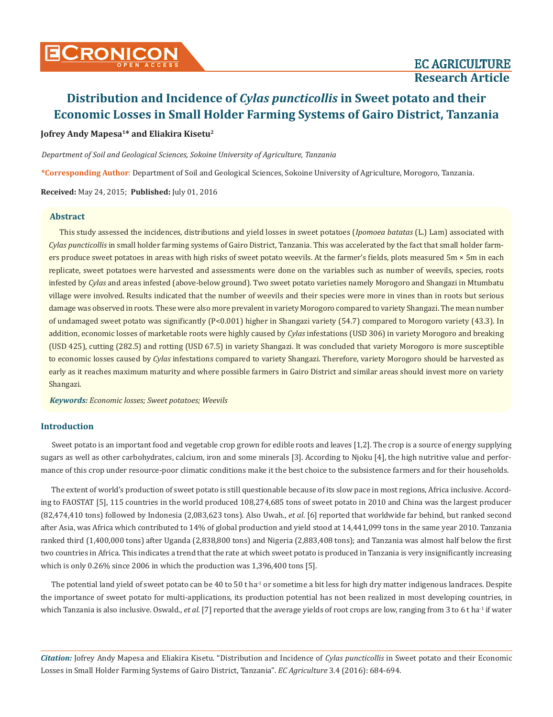# **Jofrey Andy Mapesa1\* and Eliakira Kisetu2**

*Department of Soil and Geological Sciences, Sokoine University of Agriculture, Tanzania*

**\*Corresponding Author**: Department of Soil and Geological Sciences, Sokoine University of Agriculture, Morogoro, Tanzania.

**Received:** May 24, 2015; **Published:** July 01, 2016

#### **Abstract**

This study assessed the incidences, distributions and yield losses in sweet potatoes (*Ipomoea batatas* (L.) Lam) associated with *Cylas puncticollis* in small holder farming systems of Gairo District, Tanzania. This was accelerated by the fact that small holder farmers produce sweet potatoes in areas with high risks of sweet potato weevils. At the farmer's fields, plots measured 5m × 5m in each replicate, sweet potatoes were harvested and assessments were done on the variables such as number of weevils, species, roots infested by *Cylas* and areas infested (above-below ground). Two sweet potato varieties namely Morogoro and Shangazi in Mtumbatu village were involved. Results indicated that the number of weevils and their species were more in vines than in roots but serious damage was observed in roots. These were also more prevalent in variety Morogoro compared to variety Shangazi. The mean number of undamaged sweet potato was significantly (P<0.001) higher in Shangazi variety (54.7) compared to Morogoro variety (43.3). In addition, economic losses of marketable roots were highly caused by *Cylas* infestations (USD 306) in variety Morogoro and breaking (USD 425), cutting (282.5) and rotting (USD 67.5) in variety Shangazi. It was concluded that variety Morogoro is more susceptible to economic losses caused by *Cylas* infestations compared to variety Shangazi. Therefore, variety Morogoro should be harvested as early as it reaches maximum maturity and where possible farmers in Gairo District and similar areas should invest more on variety Shangazi.

*Keywords: Economic losses; Sweet potatoes; Weevils*

## **Introduction**

Sweet potato is an important food and vegetable crop grown for edible roots and leaves [1,2]. The crop is a source of energy supplying sugars as well as other carbohydrates, calcium, iron and some minerals [3]. According to Njoku [4], the high nutritive value and performance of this crop under resource-poor climatic conditions make it the best choice to the subsistence farmers and for their households.

The extent of world's production of sweet potato is still questionable because of its slow pace in most regions, Africa inclusive. According to FAOSTAT [5], 115 countries in the world produced 108,274,685 tons of sweet potato in 2010 and China was the largest producer (82,474,410 tons) followed by Indonesia (2,083,623 tons). Also Uwah., *et al*. [6] reported that worldwide far behind, but ranked second after Asia, was Africa which contributed to 14% of global production and yield stood at 14,441,099 tons in the same year 2010. Tanzania ranked third (1,400,000 tons) after Uganda (2,838,800 tons) and Nigeria (2,883,408 tons); and Tanzania was almost half below the first two countries in Africa. This indicates a trend that the rate at which sweet potato is produced in Tanzania is very insignificantly increasing which is only 0.26% since 2006 in which the production was 1,396,400 tons [5].

The potential land yield of sweet potato can be 40 to 50 t ha<sup>-1</sup> or sometime a bit less for high dry matter indigenous landraces. Despite the importance of sweet potato for multi-applications, its production potential has not been realized in most developing countries, in which Tanzania is also inclusive. Oswald., *et al.* [7] reported that the average yields of root crops are low, ranging from 3 to 6 t ha<sup>-1</sup> if water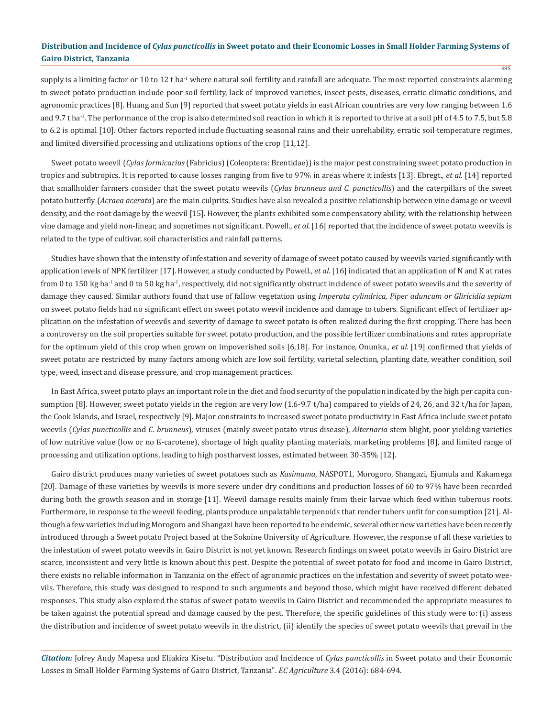685

supply is a limiting factor or 10 to 12 t ha<sup>-1</sup> where natural soil fertility and rainfall are adequate. The most reported constraints alarming to sweet potato production include poor soil fertility, lack of improved varieties, insect pests, diseases, erratic climatic conditions, and agronomic practices [8]. Huang and Sun [9] reported that sweet potato yields in east African countries are very low ranging between 1.6 and 9.7 t ha<sup>-1</sup>. The performance of the crop is also determined soil reaction in which it is reported to thrive at a soil pH of 4.5 to 7.5, but 5.8 to 6.2 is optimal [10]. Other factors reported include fluctuating seasonal rains and their unreliability, erratic soil temperature regimes, and limited diversified processing and utilizations options of the crop [11,12].

Sweet potato weevil (*Cylas formicarius* (Fabricius) (Coleoptera: Brentidae)) is the major pest constraining sweet potato production in tropics and subtropics. It is reported to cause losses ranging from five to 97% in areas where it infests [13]. Ebregt., *et al*. [14] reported that smallholder farmers consider that the sweet potato weevils (*Cylas brunneus and C. puncticollis*) and the caterpillars of the sweet potato butterfly (*Acraea acerata*) are the main culprits. Studies have also revealed a positive relationship between vine damage or weevil density, and the root damage by the weevil [15]. However, the plants exhibited some compensatory ability, with the relationship between vine damage and yield non-linear, and sometimes not significant. Powell., *et al.* [16] reported that the incidence of sweet potato weevils is related to the type of cultivar, soil characteristics and rainfall patterns.

Studies have shown that the intensity of infestation and severity of damage of sweet potato caused by weevils varied significantly with application levels of NPK fertilizer [17]. However, a study conducted by Powell., *et al*. [16] indicated that an application of N and K at rates from 0 to 150 kg ha<sup>-1</sup> and 0 to 50 kg ha<sup>-1</sup>, respectively, did not significantly obstruct incidence of sweet potato weevils and the severity of damage they caused. Similar authors found that use of fallow vegetation using *Imperata cylindrica, Piper aduncum or Gliricidia sepium*  on sweet potato fields had no significant effect on sweet potato weevil incidence and damage to tubers. Significant effect of fertilizer application on the infestation of weevils and severity of damage to sweet potato is often realized during the first cropping. There has been a controversy on the soil properties suitable for sweet potato production, and the possible fertilizer combinations and rates appropriate for the optimum yield of this crop when grown on impoverished soils [6,18]. For instance, Onunka., *et al*. [19] confirmed that yields of sweet potato are restricted by many factors among which are low soil fertility, varietal selection, planting date, weather condition, soil type, weed, insect and disease pressure, and crop management practices.

In East Africa, sweet potato plays an important role in the diet and food security of the population indicated by the high per capita consumption [8]. However, sweet potato yields in the region are very low (1.6-9.7 t/ha) compared to yields of 24, 26, and 32 t/ha for Japan, the Cook Islands, and Israel, respectively [9]. Major constraints to increased sweet potato productivity in East Africa include sweet potato weevils (*Cylas puncticollis* and *C. brunneus*), viruses (mainly sweet potato virus disease), *Alternaria* stem blight, poor yielding varieties of low nutritive value (low or no ß-carotene), shortage of high quality planting materials, marketing problems [8], and limited range of processing and utilization options, leading to high postharvest losses, estimated between 30-35% [12].

Gairo district produces many varieties of sweet potatoes such as *Kasimama*, NASPOT1, Morogoro, Shangazi, Ejumula and Kakamega [20]. Damage of these varieties by weevils is more severe under dry conditions and production losses of 60 to 97% have been recorded during both the growth season and in storage [11]. Weevil damage results mainly from their larvae which feed within tuberous roots. Furthermore, in response to the weevil feeding, plants produce unpalatable terpenoids that render tubers unfit for consumption [21]. Although a few varieties including Morogoro and Shangazi have been reported to be endemic, several other new varieties have been recently introduced through a Sweet potato Project based at the Sokoine University of Agriculture. However, the response of all these varieties to the infestation of sweet potato weevils in Gairo District is not yet known. Research findings on sweet potato weevils in Gairo District are scarce, inconsistent and very little is known about this pest. Despite the potential of sweet potato for food and income in Gairo District, there exists no reliable information in Tanzania on the effect of agronomic practices on the infestation and severity of sweet potato weevils. Therefore, this study was designed to respond to such arguments and beyond those, which might have received different debated responses. This study also explored the status of sweet potato weevils in Gairo District and recommended the appropriate measures to be taken against the potential spread and damage caused by the pest. Therefore, the specific guidelines of this study were to: (i) assess the distribution and incidence of sweet potato weevils in the district, (ii) identify the species of sweet potato weevils that prevail in the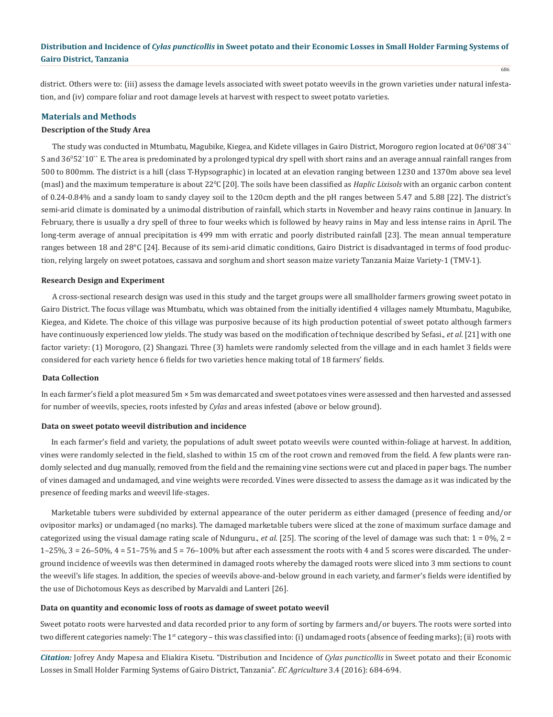district. Others were to: (iii) assess the damage levels associated with sweet potato weevils in the grown varieties under natural infestation, and (iv) compare foliar and root damage levels at harvest with respect to sweet potato varieties.

## **Materials and Methods**

#### **Description of the Study Area**

The study was conducted in Mtumbatu, Magubike, Kiegea, and Kidete villages in Gairo District, Morogoro region located at  $06^{\circ}08^{\circ}34^{\circ\circ}$ S and 36<sup>0</sup> 52`10`` E. The area is predominated by a prolonged typical dry spell with short rains and an average annual rainfall ranges from 500 to 800mm. The district is a hill (class T-Hypsographic) in located at an elevation ranging between 1230 and 1370m above sea level (masl) and the maximum temperature is about 22<sup>°</sup>C [20]. The soils have been classified as *Haplic Lixisols* with an organic carbon content of 0.24-0.84% and a sandy loam to sandy clayey soil to the 120cm depth and the pH ranges between 5.47 and 5.88 [22]. The district's semi-arid climate is dominated by a unimodal distribution of rainfall, which starts in November and heavy rains continue in January. In February, there is usually a dry spell of three to four weeks which is followed by heavy rains in May and less intense rains in April. The long-term average of annual precipitation is 499 mm with erratic and poorly distributed rainfall [23]. The mean annual temperature ranges between 18 and 28°C [24]. Because of its semi-arid climatic conditions, Gairo District is disadvantaged in terms of food production, relying largely on sweet potatoes, cassava and sorghum and short season maize variety Tanzania Maize Variety-1 (TMV-1).

#### **Research Design and Experiment**

A cross-sectional research design was used in this study and the target groups were all smallholder farmers growing sweet potato in Gairo District. The focus village was Mtumbatu, which was obtained from the initially identified 4 villages namely Mtumbatu, Magubike, Kiegea, and Kidete. The choice of this village was purposive because of its high production potential of sweet potato although farmers have continuously experienced low yields. The study was based on the modification of technique described by Sefasi., *et al*. [21] with one factor variety: (1) Morogoro, (2) Shangazi. Three (3) hamlets were randomly selected from the village and in each hamlet 3 fields were considered for each variety hence 6 fields for two varieties hence making total of 18 farmers' fields.

## **Data Collection**

In each farmer's field a plot measured 5m × 5m was demarcated and sweet potatoes vines were assessed and then harvested and assessed for number of weevils, species, roots infested by *Cylas* and areas infested (above or below ground).

#### **Data on sweet potato weevil distribution and incidence**

In each farmer's field and variety, the populations of adult sweet potato weevils were counted within-foliage at harvest. In addition, vines were randomly selected in the field, slashed to within 15 cm of the root crown and removed from the field. A few plants were randomly selected and dug manually, removed from the field and the remaining vine sections were cut and placed in paper bags. The number of vines damaged and undamaged, and vine weights were recorded. Vines were dissected to assess the damage as it was indicated by the presence of feeding marks and weevil life-stages.

Marketable tubers were subdivided by external appearance of the outer periderm as either damaged (presence of feeding and/or ovipositor marks) or undamaged (no marks). The damaged marketable tubers were sliced at the zone of maximum surface damage and categorized using the visual damage rating scale of Ndunguru., *et al*. [25]. The scoring of the level of damage was such that: 1 = 0%, 2 =  $1-25%$ ,  $3 = 26-50%$ ,  $4 = 51-75%$  and  $5 = 76-100%$  but after each assessment the roots with 4 and 5 scores were discarded. The underground incidence of weevils was then determined in damaged roots whereby the damaged roots were sliced into 3 mm sections to count the weevil's life stages. In addition, the species of weevils above-and-below ground in each variety, and farmer's fields were identified by the use of Dichotomous Keys as described by Marvaldi and Lanteri [26].

### **Data on quantity and economic loss of roots as damage of sweet potato weevil**

Sweet potato roots were harvested and data recorded prior to any form of sorting by farmers and/or buyers. The roots were sorted into two different categories namely: The 1<sup>st</sup> category – this was classified into: (i) undamaged roots (absence of feeding marks); (ii) roots with

*Citation:* Jofrey Andy Mapesa and Eliakira Kisetu. "Distribution and Incidence of *Cylas puncticollis* in Sweet potato and their Economic Losses in Small Holder Farming Systems of Gairo District, Tanzania". *EC Agriculture* 3.4 (2016): 684-694.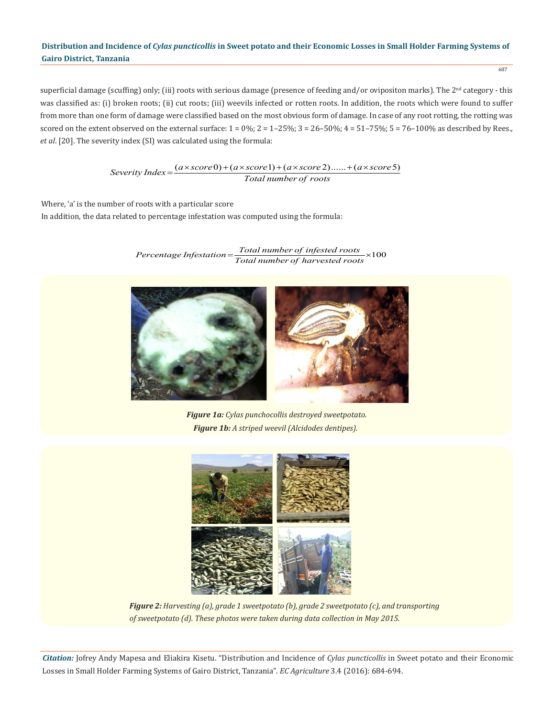687

superficial damage (scuffing) only; (iii) roots with serious damage (presence of feeding and/or ovipositon marks). The 2<sup>nd</sup> category - this was classified as: (i) broken roots; (ii) cut roots; (iii) weevils infected or rotten roots. In addition, the roots which were found to suffer from more than one form of damage were classified based on the most obvious form of damage. In case of any root rotting, the rotting was scored on the extent observed on the external surface:  $1 = 0\%$ ;  $2 = 1-25\%$ ;  $3 = 26-50\%$ ;  $4 = 51-75\%$ ;  $5 = 76-100\%$  as described by Rees., *et al*. [20]. The severity index (SI) was calculated using the formula:

$$
Severity Index = \frac{(a \times score0) + (a \times score1) + (a \times score2) + (a \times score5)}{Total number of roots}
$$

Where, 'a' is the number of roots with a particular score In addition, the data related to percentage infestation was computed using the formula:

 $Percentage\,Infestation { = Total\,number\,of\,infested\,roots \times 100}$ 



*Figure 1a: Cylas punchocollis destroyed sweetpotato. Figure 1b: A striped weevil (Alcidodes dentipes).*



*Figure 2: Harvesting (a), grade 1 sweetpotato (b), grade 2 sweetpotato (c), and transporting of sweetpotato (d). These photos were taken during data collection in May 2015.*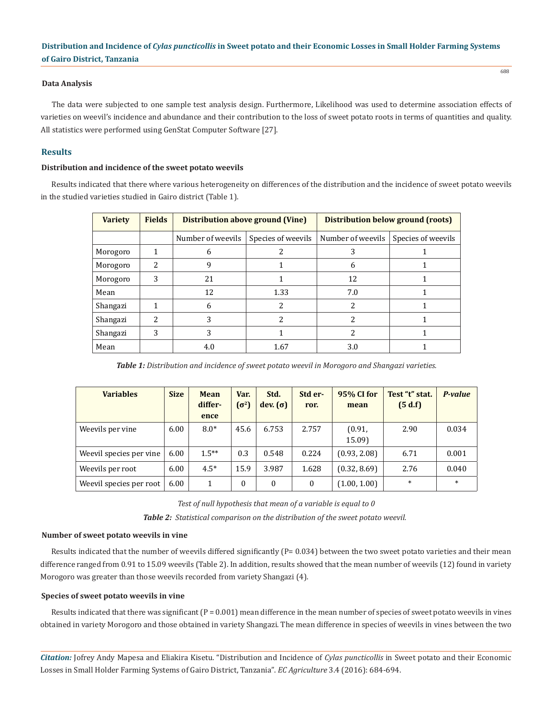## **Data Analysis**

The data were subjected to one sample test analysis design. Furthermore, Likelihood was used to determine association effects of varieties on weevil's incidence and abundance and their contribution to the loss of sweet potato roots in terms of quantities and quality. All statistics were performed using GenStat Computer Software [27].

## **Results**

## **Distribution and incidence of the sweet potato weevils**

Results indicated that there where various heterogeneity on differences of the distribution and the incidence of sweet potato weevils in the studied varieties studied in Gairo district (Table 1).

| <b>Variety</b> | <b>Fields</b> | <b>Distribution above ground (Vine)</b> |                    | Distribution below ground (roots) |                    |  |
|----------------|---------------|-----------------------------------------|--------------------|-----------------------------------|--------------------|--|
|                |               | Number of weevils                       | Species of weevils | Number of weevils                 | Species of weevils |  |
| Morogoro       |               | h                                       |                    |                                   |                    |  |
| Morogoro       | 2             | 9                                       |                    | 6                                 |                    |  |
| Morogoro       | 3             | 21                                      |                    | 12                                |                    |  |
| Mean           |               | 12                                      | 1.33               | 7.0                               |                    |  |
| Shangazi       |               | 6                                       | 2                  | 2                                 |                    |  |
| Shangazi       | 2             | 3                                       | っ                  |                                   |                    |  |
| Shangazi       | 3             | 3                                       |                    |                                   |                    |  |
| Mean           |               | 4.0                                     | 1.67               | 3.0                               |                    |  |

*Table 1: Distribution and incidence of sweet potato weevil in Morogoro and Shangazi varieties.*

| <b>Variables</b>         | <b>Size</b> | Mean<br>differ-<br>ence | Var.<br>$(\sigma^2)$ | Std.<br>dev. $(\sigma)$ | Std er-<br>ror. | 95% CI for<br>mean | Test "t" stat.<br>(5 d.f) | P-value |
|--------------------------|-------------|-------------------------|----------------------|-------------------------|-----------------|--------------------|---------------------------|---------|
| Weevils per vine         | 6.00        | $8.0*$                  | 45.6                 | 6.753                   | 2.757           | (0.91,<br>15.09)   | 2.90                      | 0.034   |
| Weevil species per vine. | 6.00        | $1.5***$                | 0.3                  | 0.548                   | 0.224           | (0.93, 2.08)       | 6.71                      | 0.001   |
| Weevils per root         | 6.00        | $4.5*$                  | 15.9                 | 3.987                   | 1.628           | (0.32, 8.69)       | 2.76                      | 0.040   |
| Weevil species per root  | 6.00        | 1                       | $\Omega$             | $\Omega$                | $\mathbf{0}$    | (1.00, 1.00)       | $\ast$                    | $\ast$  |

*Test of null hypothesis that mean of a variable is equal to 0 Table 2: Statistical comparison on the distribution of the sweet potato weevil.*

## **Number of sweet potato weevils in vine**

Results indicated that the number of weevils differed significantly  $(P= 0.034)$  between the two sweet potato varieties and their mean difference ranged from 0.91 to 15.09 weevils (Table 2). In addition, results showed that the mean number of weevils (12) found in variety Morogoro was greater than those weevils recorded from variety Shangazi (4).

## **Species of sweet potato weevils in vine**

Results indicated that there was significant  $(P = 0.001)$  mean difference in the mean number of species of sweet potato weevils in vines obtained in variety Morogoro and those obtained in variety Shangazi. The mean difference in species of weevils in vines between the two

*Citation:* Jofrey Andy Mapesa and Eliakira Kisetu. "Distribution and Incidence of *Cylas puncticollis* in Sweet potato and their Economic Losses in Small Holder Farming Systems of Gairo District, Tanzania". *EC Agriculture* 3.4 (2016): 684-694.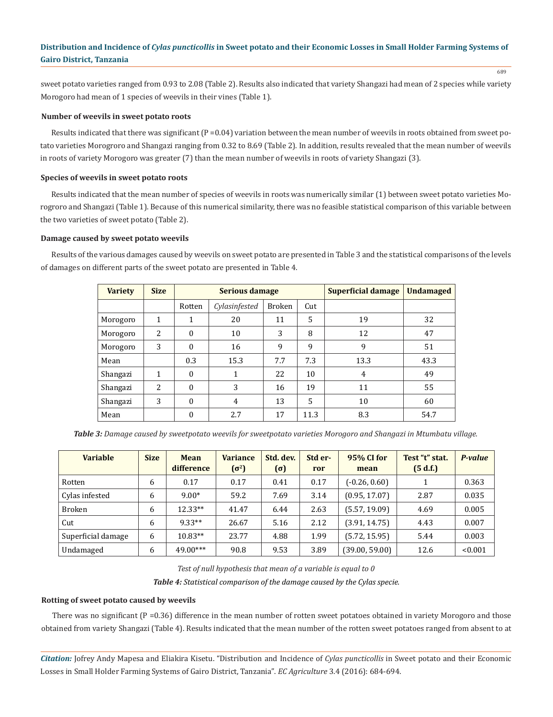sweet potato varieties ranged from 0.93 to 2.08 (Table 2). Results also indicated that variety Shangazi had mean of 2 species while variety Morogoro had mean of 1 species of weevils in their vines (Table 1).

#### **Number of weevils in sweet potato roots**

Results indicated that there was significant  $(P = 0.04)$  variation between the mean number of weevils in roots obtained from sweet potato varieties Morogroro and Shangazi ranging from 0.32 to 8.69 (Table 2). In addition, results revealed that the mean number of weevils in roots of variety Morogoro was greater (7) than the mean number of weevils in roots of variety Shangazi (3).

## **Species of weevils in sweet potato roots**

Results indicated that the mean number of species of weevils in roots was numerically similar (1) between sweet potato varieties Morogroro and Shangazi (Table 1). Because of this numerical similarity, there was no feasible statistical comparison of this variable between the two varieties of sweet potato (Table 2).

## **Damage caused by sweet potato weevils**

Results of the various damages caused by weevils on sweet potato are presented in Table 3 and the statistical comparisons of the levels of damages on different parts of the sweet potato are presented in Table 4.

| <b>Variety</b> | <b>Size</b> |          | Serious damage |               | <b>Superficial damage</b> | <b>Undamaged</b> |      |
|----------------|-------------|----------|----------------|---------------|---------------------------|------------------|------|
|                |             | Rotten   | Cylasinfested  | <b>Broken</b> | Cut                       |                  |      |
| Morogoro       | 1           | 1        | 20             | 11            | 5                         | 19               | 32   |
| Morogoro       | 2           | $\Omega$ | 10             | 3             | 8                         | 12               | 47   |
| Morogoro       | 3           | $\theta$ | 16             | 9             | 9                         | 9                | 51   |
| Mean           |             | 0.3      | 15.3           | 7.7           | 7.3                       | 13.3             | 43.3 |
| Shangazi       | 1           | $\theta$ | 1              | 22            | 10                        | 4                | 49   |
| Shangazi       | 2           | $\theta$ | 3              | 16            | 19                        | 11               | 55   |
| Shangazi       | 3           | $\theta$ | $\overline{4}$ | 13            | $\overline{5}$            | 10               | 60   |
| Mean           |             | $\theta$ | 2.7            | 17            | 11.3                      | 8.3              | 54.7 |

*Table 3: Damage caused by sweetpotato weevils for sweetpotato varieties Morogoro and Shangazi in Mtumbatu village.*

| <b>Variable</b>    | <b>Size</b> | Mean<br>difference | <b>Variance</b><br>$(\sigma^2)$ | Std. dev.<br>$(\sigma)$ | Std er-<br>ror | 95% CI for<br>mean | Test "t" stat.<br>(5 d.f.) | P-value |
|--------------------|-------------|--------------------|---------------------------------|-------------------------|----------------|--------------------|----------------------------|---------|
| Rotten             | 6           | 0.17               | 0.17                            | 0.41                    | 0.17           | $(-0.26, 0.60)$    |                            | 0.363   |
| Cylas infested     | 6           | $9.00*$            | 59.2                            | 7.69                    | 3.14           | (0.95, 17.07)      | 2.87                       | 0.035   |
| <b>Broken</b>      | 6           | $12.33**$          | 41.47                           | 6.44                    | 2.63           | (5.57, 19.09)      | 4.69                       | 0.005   |
| Cut                | 6           | $9.33**$           | 26.67                           | 5.16                    | 2.12           | (3.91, 14.75)      | 4.43                       | 0.007   |
| Superficial damage | 6           | $10.83**$          | 23.77                           | 4.88                    | 1.99           | (5.72, 15.95)      | 5.44                       | 0.003   |
| Undamaged          | 6           | 49.00***           | 90.8                            | 9.53                    | 3.89           | (39.00, 59.00)     | 12.6                       | < 0.001 |

*Test of null hypothesis that mean of a variable is equal to 0 Table 4: Statistical comparison of the damage caused by the Cylas specie.*

## **Rotting of sweet potato caused by weevils**

There was no significant ( $P = 0.36$ ) difference in the mean number of rotten sweet potatoes obtained in variety Morogoro and those obtained from variety Shangazi (Table 4). Results indicated that the mean number of the rotten sweet potatoes ranged from absent to at

*Citation:* Jofrey Andy Mapesa and Eliakira Kisetu. "Distribution and Incidence of *Cylas puncticollis* in Sweet potato and their Economic Losses in Small Holder Farming Systems of Gairo District, Tanzania". *EC Agriculture* 3.4 (2016): 684-694.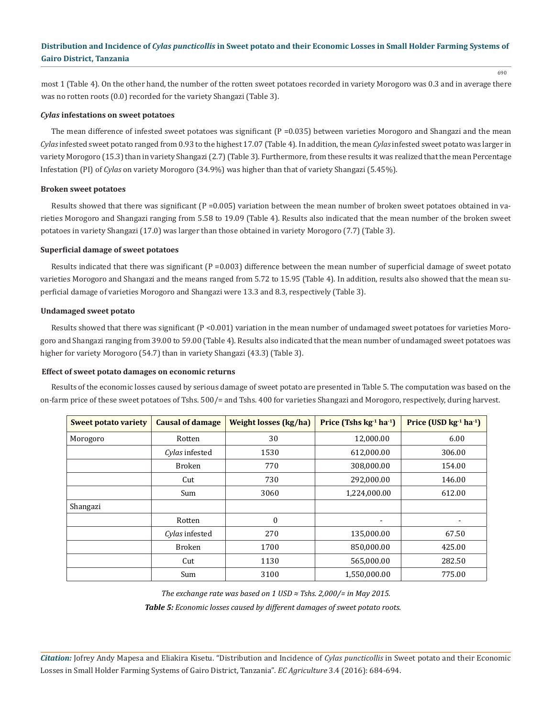most 1 (Table 4). On the other hand, the number of the rotten sweet potatoes recorded in variety Morogoro was 0.3 and in average there was no rotten roots (0.0) recorded for the variety Shangazi (Table 3).

#### *Cylas* **infestations on sweet potatoes**

The mean difference of infested sweet potatoes was significant (P = 0.035) between varieties Morogoro and Shangazi and the mean *Cylas* infested sweet potato ranged from 0.93 to the highest 17.07 (Table 4). In addition, the mean *Cylas* infested sweet potato was larger in variety Morogoro (15.3) than in variety Shangazi (2.7) (Table 3). Furthermore, from these results it was realized that the mean Percentage Infestation (PI) of *Cylas* on variety Morogoro (34.9%) was higher than that of variety Shangazi (5.45%).

#### **Broken sweet potatoes**

Results showed that there was significant  $(P = 0.005)$  variation between the mean number of broken sweet potatoes obtained in varieties Morogoro and Shangazi ranging from 5.58 to 19.09 (Table 4). Results also indicated that the mean number of the broken sweet potatoes in variety Shangazi (17.0) was larger than those obtained in variety Morogoro (7.7) (Table 3).

#### **Superficial damage of sweet potatoes**

Results indicated that there was significant  $(P = 0.003)$  difference between the mean number of superficial damage of sweet potato varieties Morogoro and Shangazi and the means ranged from 5.72 to 15.95 (Table 4). In addition, results also showed that the mean superficial damage of varieties Morogoro and Shangazi were 13.3 and 8.3, respectively (Table 3).

#### **Undamaged sweet potato**

Results showed that there was significant (P <0.001) variation in the mean number of undamaged sweet potatoes for varieties Morogoro and Shangazi ranging from 39.00 to 59.00 (Table 4). Results also indicated that the mean number of undamaged sweet potatoes was higher for variety Morogoro (54.7) than in variety Shangazi (43.3) (Table 3).

#### **Effect of sweet potato damages on economic returns**

Results of the economic losses caused by serious damage of sweet potato are presented in Table 5. The computation was based on the on-farm price of these sweet potatoes of Tshs. 500/= and Tshs. 400 for varieties Shangazi and Morogoro, respectively, during harvest.

| <b>Sweet potato variety</b> | <b>Causal of damage</b> | <b>Weight losses (kg/ha)</b> | Price (Tshs $kg-1 h a-1$ ) | Price (USD $kg^{-1}$ ha <sup>-1</sup> ) |
|-----------------------------|-------------------------|------------------------------|----------------------------|-----------------------------------------|
| Morogoro                    | Rotten                  | 30                           | 12,000.00                  | 6.00                                    |
|                             | Cylas infested          | 1530                         | 612,000.00                 | 306.00                                  |
|                             | <b>Broken</b>           | 770                          | 308,000.00                 | 154.00                                  |
|                             | Cut                     | 730                          | 292,000.00                 | 146.00                                  |
|                             | Sum                     | 3060                         | 1,224,000.00               | 612.00                                  |
| Shangazi                    |                         |                              |                            |                                         |
|                             | Rotten                  | $\boldsymbol{0}$             | $\blacksquare$             | $\overline{\phantom{a}}$                |
|                             | Cylas infested          | 270                          | 135,000.00                 | 67.50                                   |
|                             | <b>Broken</b>           | 1700                         | 850,000.00                 | 425.00                                  |
|                             | Cut                     | 1130                         | 565,000.00                 | 282.50                                  |
|                             | Sum                     | 3100                         | 1,550,000.00               | 775.00                                  |

*The exchange rate was based on 1 USD ≈ Tshs. 2,000/= in May 2015.*

*Table 5: Economic losses caused by different damages of sweet potato roots.*

*Citation:* Jofrey Andy Mapesa and Eliakira Kisetu. "Distribution and Incidence of *Cylas puncticollis* in Sweet potato and their Economic Losses in Small Holder Farming Systems of Gairo District, Tanzania". *EC Agriculture* 3.4 (2016): 684-694.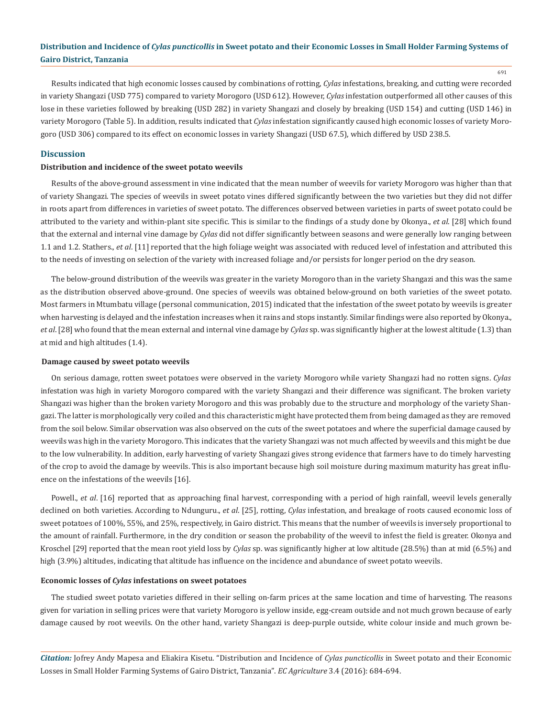691

Results indicated that high economic losses caused by combinations of rotting, *Cylas* infestations, breaking, and cutting were recorded in variety Shangazi (USD 775) compared to variety Morogoro (USD 612). However, *Cylas* infestation outperformed all other causes of this lose in these varieties followed by breaking (USD 282) in variety Shangazi and closely by breaking (USD 154) and cutting (USD 146) in variety Morogoro (Table 5). In addition, results indicated that *Cylas* infestation significantly caused high economic losses of variety Morogoro (USD 306) compared to its effect on economic losses in variety Shangazi (USD 67.5), which differed by USD 238.5.

## **Discussion**

## **Distribution and incidence of the sweet potato weevils**

Results of the above-ground assessment in vine indicated that the mean number of weevils for variety Morogoro was higher than that of variety Shangazi. The species of weevils in sweet potato vines differed significantly between the two varieties but they did not differ in roots apart from differences in varieties of sweet potato. The differences observed between varieties in parts of sweet potato could be attributed to the variety and within-plant site specific. This is similar to the findings of a study done by Okonya., *et al*. [28] which found that the external and internal vine damage by *Cylas* did not differ significantly between seasons and were generally low ranging between 1.1 and 1.2. Stathers., *et al*. [11] reported that the high foliage weight was associated with reduced level of infestation and attributed this to the needs of investing on selection of the variety with increased foliage and/or persists for longer period on the dry season.

The below-ground distribution of the weevils was greater in the variety Morogoro than in the variety Shangazi and this was the same as the distribution observed above-ground. One species of weevils was obtained below-ground on both varieties of the sweet potato. Most farmers in Mtumbatu village (personal communication, 2015) indicated that the infestation of the sweet potato by weevils is greater when harvesting is delayed and the infestation increases when it rains and stops instantly. Similar findings were also reported by Okonya., *et al*. [28] who found that the mean external and internal vine damage by *Cylas* sp. was significantly higher at the lowest altitude (1.3) than at mid and high altitudes (1.4).

## **Damage caused by sweet potato weevils**

On serious damage, rotten sweet potatoes were observed in the variety Morogoro while variety Shangazi had no rotten signs. *Cylas* infestation was high in variety Morogoro compared with the variety Shangazi and their difference was significant. The broken variety Shangazi was higher than the broken variety Morogoro and this was probably due to the structure and morphology of the variety Shangazi. The latter is morphologically very coiled and this characteristic might have protected them from being damaged as they are removed from the soil below. Similar observation was also observed on the cuts of the sweet potatoes and where the superficial damage caused by weevils was high in the variety Morogoro. This indicates that the variety Shangazi was not much affected by weevils and this might be due to the low vulnerability. In addition, early harvesting of variety Shangazi gives strong evidence that farmers have to do timely harvesting of the crop to avoid the damage by weevils. This is also important because high soil moisture during maximum maturity has great influence on the infestations of the weevils [16].

Powell., *et al*. [16] reported that as approaching final harvest, corresponding with a period of high rainfall, weevil levels generally declined on both varieties. According to Ndunguru., *et al*. [25], rotting, *Cylas* infestation, and breakage of roots caused economic loss of sweet potatoes of 100%, 55%, and 25%, respectively, in Gairo district. This means that the number of weevils is inversely proportional to the amount of rainfall. Furthermore, in the dry condition or season the probability of the weevil to infest the field is greater. Okonya and Kroschel [29] reported that the mean root yield loss by *Cylas* sp. was significantly higher at low altitude (28.5%) than at mid (6.5%) and high (3.9%) altitudes, indicating that altitude has influence on the incidence and abundance of sweet potato weevils.

## **Economic losses of** *Cylas* **infestations on sweet potatoes**

The studied sweet potato varieties differed in their selling on-farm prices at the same location and time of harvesting. The reasons given for variation in selling prices were that variety Morogoro is yellow inside, egg-cream outside and not much grown because of early damage caused by root weevils. On the other hand, variety Shangazi is deep-purple outside, white colour inside and much grown be-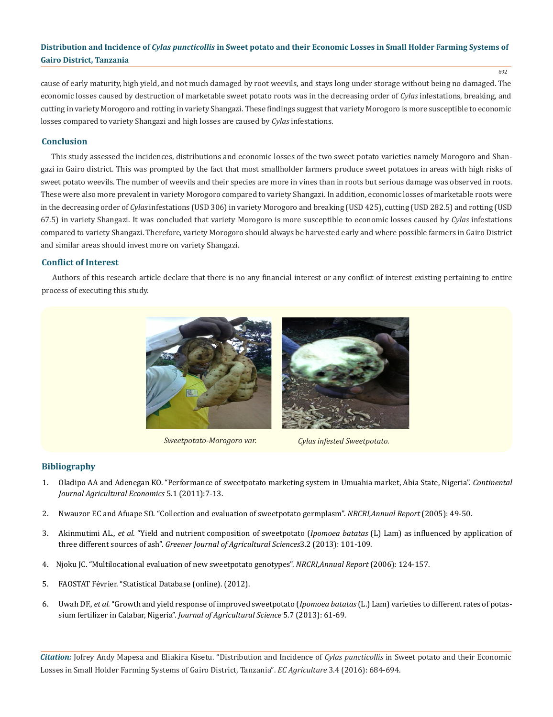cause of early maturity, high yield, and not much damaged by root weevils, and stays long under storage without being no damaged. The economic losses caused by destruction of marketable sweet potato roots was in the decreasing order of *Cylas* infestations, breaking, and cutting in variety Morogoro and rotting in variety Shangazi. These findings suggest that variety Morogoro is more susceptible to economic losses compared to variety Shangazi and high losses are caused by *Cylas* infestations.

# **Conclusion**

This study assessed the incidences, distributions and economic losses of the two sweet potato varieties namely Morogoro and Shangazi in Gairo district. This was prompted by the fact that most smallholder farmers produce sweet potatoes in areas with high risks of sweet potato weevils. The number of weevils and their species are more in vines than in roots but serious damage was observed in roots. These were also more prevalent in variety Morogoro compared to variety Shangazi. In addition, economic losses of marketable roots were in the decreasing order of *Cylas* infestations (USD 306) in variety Morogoro and breaking (USD 425), cutting (USD 282.5) and rotting (USD 67.5) in variety Shangazi. It was concluded that variety Morogoro is more susceptible to economic losses caused by *Cylas* infestations compared to variety Shangazi. Therefore, variety Morogoro should always be harvested early and where possible farmers in Gairo District and similar areas should invest more on variety Shangazi.

## **Conflict of Interest**

Authors of this research article declare that there is no any financial interest or any conflict of interest existing pertaining to entire process of executing this study.



*Sweetpotato-Morogoro var. Cylas infested Sweetpotato.*

## **Bibliography**

- 1. Oladipo AA and Adenegan KO. "Performance of sweetpotato marketing system in Umuahia market, Abia State, Nigeria". *Continental Journal Agricultural Economics* 5.1 (2011):7-13.
- 2. Nwauzor EC and Afuape SO. "Collection and evaluation of sweetpotato germplasm". *NRCRI,Annual Report* (2005): 49-50.
- 3. Akinmutimi AL., *et al.* "Yield and nutrient composition of sweetpotato (*Ipomoea batatas* (L) Lam) as influenced by application of three different sources of ash". *Greener Journal of Agricultural Sciences*3.2 (2013): 101-109.
- 4. Njoku JC. "Multilocational evaluation of new sweetpotato genotypes". *NRCRI,Annual Report* (2006): 124-157.
- 5. FAOSTAT Février. "Statistical Database (online). (2012).
- 6. Uwah DF., *et al.* "Growth and yield response of improved sweetpotato (*Ipomoea batatas* (L.) Lam) varieties to different rates of potassium fertilizer in Calabar, Nigeria". *Journal of Agricultural Science* 5.7 (2013): 61-69.

*Citation:* Jofrey Andy Mapesa and Eliakira Kisetu. "Distribution and Incidence of *Cylas puncticollis* in Sweet potato and their Economic Losses in Small Holder Farming Systems of Gairo District, Tanzania". *EC Agriculture* 3.4 (2016): 684-694.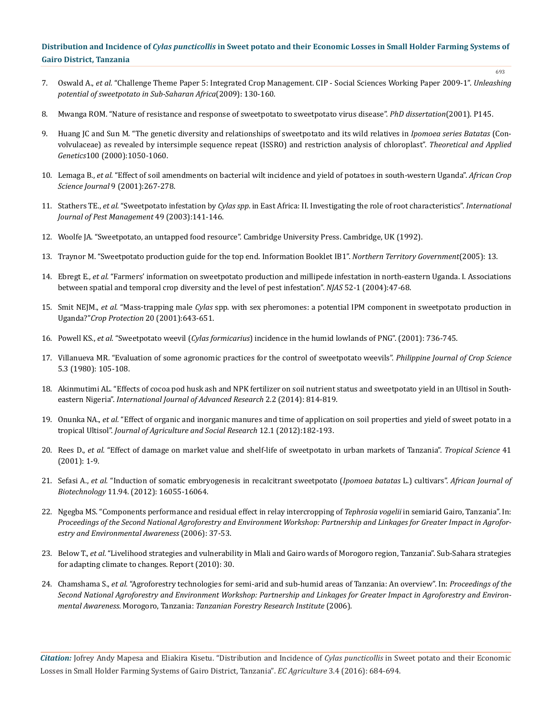7. Oswald A., *et al.* "Challenge Theme Paper 5: Integrated Crop Management. CIP - Social Sciences Working Paper 2009-1". *Unleashing potential of sweetpotato in Sub-Saharan Africa*(2009): 130-160.

693

- 8. Mwanga ROM. "Nature of resistance and response of sweetpotato to sweetpotato virus disease". *PhD dissertation*(2001). P145.
- 9. Huang JC and Sun M. "The genetic diversity and relationships of sweetpotato and its wild relatives in *Ipomoea series Batatas* (Convolvulaceae) as revealed by intersimple sequence repeat (ISSRO) and restriction analysis of chloroplast". *Theoretical and Applied Genetics*100 (2000):1050-1060.
- 10. Lemaga B., *et al.* "Effect of soil amendments on bacterial wilt incidence and yield of potatoes in south-western Uganda". *African Crop Science Journal* 9 (2001):267-278.
- 11. Stathers TE., *et al.* "Sweetpotato infestation by *Cylas spp*. in East Africa: II. Investigating the role of root characteristics". *International Journal of Pest Management* 49 (2003):141-146.
- 12. Woolfe JA. "Sweetpotato, an untapped food resource". Cambridge University Press. Cambridge, UK (1992).
- 13. Traynor M. "Sweetpotato production guide for the top end. Information Booklet IB1". *Northern Territory Government*(2005): 13.
- 14. Ebregt E., *et al.* "Farmers' information on sweetpotato production and millipede infestation in north-eastern Uganda. I. Associations between spatial and temporal crop diversity and the level of pest infestation". *NJAS* 52-1 (2004):47-68.
- 15. Smit NEJM., *et al.* "Mass-trapping male *Cylas* spp. with sex pheromones: a potential IPM component in sweetpotato production in Uganda?"*Crop Protection* 20 (2001):643-651.
- 16. Powell KS., *et al.* "Sweetpotato weevil (*Cylas formicarius*) incidence in the humid lowlands of PNG". (2001): 736-745.
- 17. Villanueva MR. "Evaluation of some agronomic practices for the control of sweetpotato weevils". *Philippine Journal of Crop Science* 5.3 (1980): 105-108.
- 18. Akinmutimi AL. "Effects of cocoa pod husk ash and NPK fertilizer on soil nutrient status and sweetpotato yield in an Ultisol in Southeastern Nigeria". *International Journal of Advanced Research* 2.2 (2014): 814-819.
- 19. Onunka NA., *et al.* "Effect of organic and inorganic manures and time of application on soil properties and yield of sweet potato in a tropical Ultisol". *Journal of Agriculture and Social Research* 12.1 (2012):182-193.
- 20. Rees D., *et al.* "Effect of damage on market value and shelf-life of sweetpotato in urban markets of Tanzania". *Tropical Science* 41 (2001): 1-9.
- 21. Sefasi A., *et al.* "Induction of somatic embryogenesis in recalcitrant sweetpotato (*Ipomoea batatas* L.) cultivars". *African Journal of Biotechnology* 11.94. (2012): 16055-16064.
- 22. Ngegba MS. "Components performance and residual effect in relay intercropping of *Tephrosia vogelii* in semiarid Gairo, Tanzania". In: *Proceedings of the Second National Agroforestry and Environment Workshop: Partnership and Linkages for Greater Impact in Agroforestry and Environmental Awareness* (2006): 37-53.
- 23. Below T., *et al.* "Livelihood strategies and vulnerability in Mlali and Gairo wards of Morogoro region, Tanzania". Sub-Sahara strategies for adapting climate to changes. Report (2010): 30.
- 24. Chamshama S., *et al.* "Agroforestry technologies for semi-arid and sub-humid areas of Tanzania: An overview". In: *Proceedings of the Second National Agroforestry and Environment Workshop: Partnership and Linkages for Greater Impact in Agroforestry and Environmental Awareness*. Morogoro, Tanzania: *Tanzanian Forestry Research Institute* (2006).